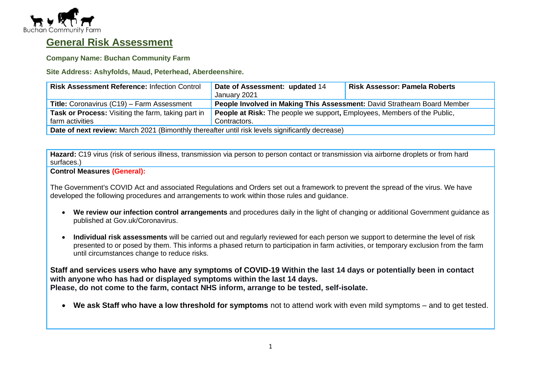

# **General Risk Assessment**

**Company Name: Buchan Community Farm**

**Site Address: Ashyfolds, Maud, Peterhead, Aberdeenshire.**

| <b>Risk Assessment Reference: Infection Control</b>                                             | Date of Assessment: updated 14<br>January 2021                           | <b>Risk Assessor: Pamela Roberts</b> |  |
|-------------------------------------------------------------------------------------------------|--------------------------------------------------------------------------|--------------------------------------|--|
| <b>Title:</b> Coronavirus (C19) – Farm Assessment                                               | People Involved in Making This Assessment: David Strathearn Board Member |                                      |  |
| <b>Task or Process:</b> Visiting the farm, taking part in                                       | People at Risk: The people we support, Employees, Members of the Public, |                                      |  |
| farm activities                                                                                 | Contractors.                                                             |                                      |  |
| Date of next review: March 2021 (Bimonthly thereafter until risk levels significantly decrease) |                                                                          |                                      |  |

**Hazard:** C19 virus (risk of serious illness, transmission via person to person contact or transmission via airborne droplets or from hard surfaces.)

#### **Control Measures (General):**

The Government's COVID Act and associated Regulations and Orders set out a framework to prevent the spread of the virus. We have developed the following procedures and arrangements to work within those rules and guidance.

- **We review our infection control arrangements** and procedures daily in the light of changing or additional Government guidance as published at Gov.uk/Coronavirus.
- **Individual risk assessments** will be carried out and regularly reviewed for each person we support to determine the level of risk presented to or posed by them. This informs a phased return to participation in farm activities, or temporary exclusion from the farm until circumstances change to reduce risks.

**Staff and services users who have any symptoms of COVID-19 Within the last 14 days or potentially been in contact with anyone who has had or displayed symptoms within the last 14 days. Please, do not come to the farm, contact NHS inform, arrange to be tested, self-isolate.**

• **We ask Staff who have a low threshold for symptoms** not to attend work with even mild symptoms – and to get tested.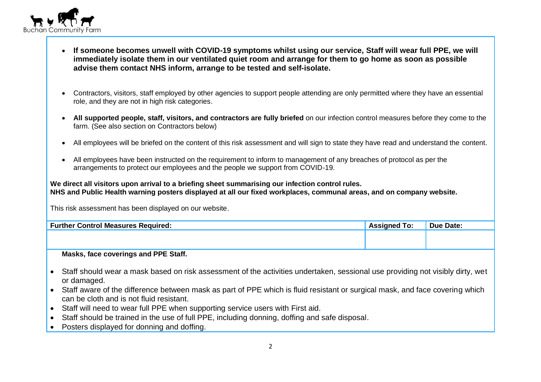

- **If someone becomes unwell with COVID-19 symptoms whilst using our service, Staff will wear full PPE, we will immediately isolate them in our ventilated quiet room and arrange for them to go home as soon as possible advise them contact NHS inform, arrange to be tested and self-isolate.**
- Contractors, visitors, staff employed by other agencies to support people attending are only permitted where they have an essential role, and they are not in high risk categories.
- **All supported people, staff, visitors, and contractors are fully briefed** on our infection control measures before they come to the farm. (See also section on Contractors below)
- All employees will be briefed on the content of this risk assessment and will sign to state they have read and understand the content.
- All employees have been instructed on the requirement to inform to management of any breaches of protocol as per the arrangements to protect our employees and the people we support from COVID-19.

**We direct all visitors upon arrival to a briefing sheet summarising our infection control rules. NHS and Public Health warning posters displayed at all our fixed workplaces, communal areas, and on company website.**

This risk assessment has been displayed on our website.

| <b>Further Control Measures Required:</b> | <b>Assigned To:</b> | <b>Due Date:</b> |
|-------------------------------------------|---------------------|------------------|
|                                           |                     |                  |
|                                           |                     |                  |

### **Masks, face coverings and PPE Staff.**

- Staff should wear a mask based on risk assessment of the activities undertaken, sessional use providing not visibly dirty, wet or damaged.
- Staff aware of the difference between mask as part of PPE which is fluid resistant or surgical mask, and face covering which can be cloth and is not fluid resistant.
- Staff will need to wear full PPE when supporting service users with First aid.
- Staff should be trained in the use of full PPE, including donning, doffing and safe disposal.
- Posters displayed for donning and doffing.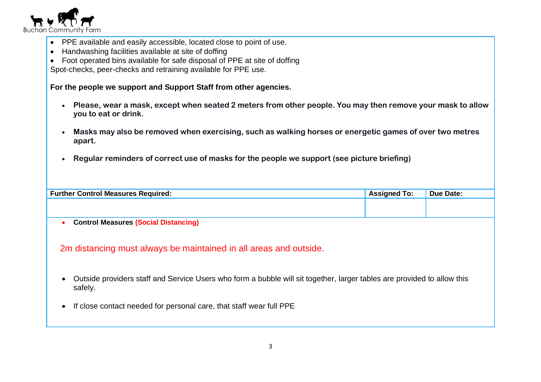

- PPE available and easily accessible, located close to point of use.
- Handwashing facilities available at site of doffing
- Foot operated bins available for safe disposal of PPE at site of doffing

Spot-checks, peer-checks and retraining available for PPE use.

**For the people we support and Support Staff from other agencies.**

- **Please, wear a mask, except when seated 2 meters from other people. You may then remove your mask to allow you to eat or drink.**
- **Masks may also be removed when exercising, such as walking horses or energetic games of over two metres apart.**
- **Regular reminders of correct use of masks for the people we support (see picture briefing)**

| <b>Further Control Measures Required:</b>                         | <b>Assigned To:</b> | Due Date: |
|-------------------------------------------------------------------|---------------------|-----------|
|                                                                   |                     |           |
|                                                                   |                     |           |
| <b>Control Measures (Social Distancing)</b>                       |                     |           |
|                                                                   |                     |           |
|                                                                   |                     |           |
| 2m distancing must always be maintained in all areas and outside. |                     |           |

- Outside providers staff and Service Users who form a bubble will sit together, larger tables are provided to allow this safely.
- If close contact needed for personal care, that staff wear full PPE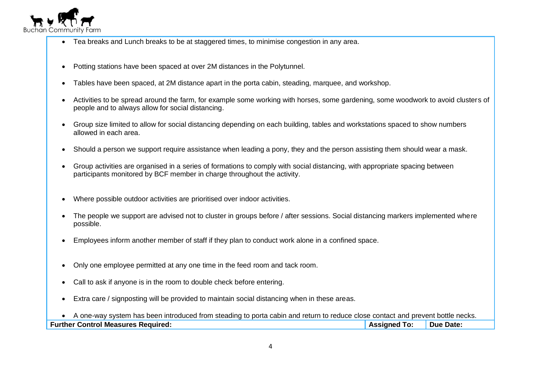

- Tea breaks and Lunch breaks to be at staggered times, to minimise congestion in any area.
- Potting stations have been spaced at over 2M distances in the Polytunnel.
- Tables have been spaced, at 2M distance apart in the porta cabin, steading, marquee, and workshop.
- Activities to be spread around the farm, for example some working with horses, some gardening, some woodwork to avoid clusters of people and to always allow for social distancing.
- Group size limited to allow for social distancing depending on each building, tables and workstations spaced to show numbers allowed in each area.
- Should a person we support require assistance when leading a pony, they and the person assisting them should wear a mask.
- Group activities are organised in a series of formations to comply with social distancing, with appropriate spacing between participants monitored by BCF member in charge throughout the activity.
- Where possible outdoor activities are prioritised over indoor activities.
- The people we support are advised not to cluster in groups before / after sessions. Social distancing markers implemented where possible.
- Employees inform another member of staff if they plan to conduct work alone in a confined space.
- Only one employee permitted at any one time in the feed room and tack room.
- Call to ask if anyone is in the room to double check before entering.
- Extra care / signposting will be provided to maintain social distancing when in these areas.

• A one-way system has been introduced from steading to porta cabin and return to reduce close contact and prevent bottle necks. **Further Control Measures Required: Assigned To: Due Date: Assigned To: Due Date:**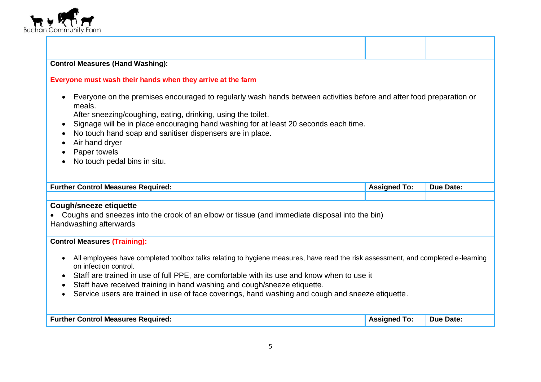

## **Control Measures (Hand Washing):**

#### **Everyone must wash their hands when they arrive at the farm**

• Everyone on the premises encouraged to regularly wash hands between activities before and after food preparation or meals.

After sneezing/coughing, eating, drinking, using the toilet.

- Signage will be in place encouraging hand washing for at least 20 seconds each time.
- No touch hand soap and sanitiser dispensers are in place.
- Air hand dryer
- Paper towels
- No touch pedal bins in situ.

| <b>Further</b><br>: Reauired:<br><b>Control Measures</b> | 10 | <b>Due Date:</b> |
|----------------------------------------------------------|----|------------------|
|                                                          |    |                  |

### **Cough/sneeze etiquette**

• Coughs and sneezes into the crook of an elbow or tissue (and immediate disposal into the bin) Handwashing afterwards

### **Control Measures (Training):**

- All employees have completed toolbox talks relating to hygiene measures, have read the risk assessment, and completed e-learning on infection control.
- Staff are trained in use of full PPE, are comfortable with its use and know when to use it
- Staff have received training in hand washing and cough/sneeze etiquette.
- Service users are trained in use of face coverings, hand washing and cough and sneeze etiquette.

| <b>Further Control Measures Required:</b> | Assigned<br>To: | Due Date: |
|-------------------------------------------|-----------------|-----------|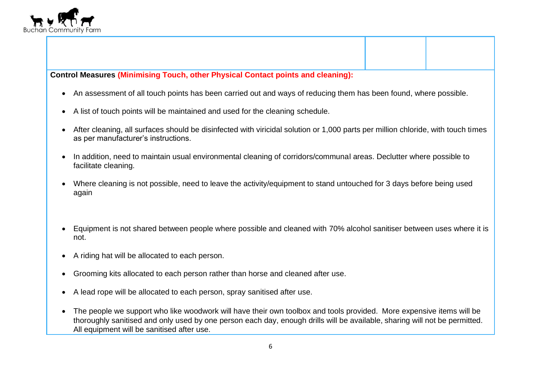

**Control Measures (Minimising Touch, other Physical Contact points and cleaning):** 

- An assessment of all touch points has been carried out and ways of reducing them has been found, where possible.
- A list of touch points will be maintained and used for the cleaning schedule.
- After cleaning, all surfaces should be disinfected with viricidal solution or 1,000 parts per million chloride, with touch times as per manufacturer's instructions.
- In addition, need to maintain usual environmental cleaning of corridors/communal areas. Declutter where possible to facilitate cleaning.
- Where cleaning is not possible, need to leave the activity/equipment to stand untouched for 3 days before being used again
- Equipment is not shared between people where possible and cleaned with 70% alcohol sanitiser between uses where it is not.
- A riding hat will be allocated to each person.
- Grooming kits allocated to each person rather than horse and cleaned after use.
- A lead rope will be allocated to each person, spray sanitised after use.
- The people we support who like woodwork will have their own toolbox and tools provided. More expensive items will be thoroughly sanitised and only used by one person each day, enough drills will be available, sharing will not be permitted. All equipment will be sanitised after use.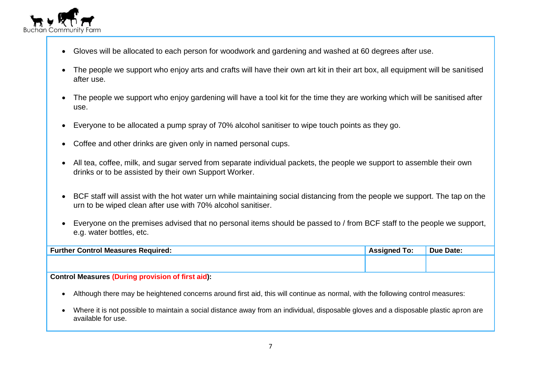

- Gloves will be allocated to each person for woodwork and gardening and washed at 60 degrees after use.
- The people we support who enjoy arts and crafts will have their own art kit in their art box, all equipment will be sanitised after use.
- The people we support who enjoy gardening will have a tool kit for the time they are working which will be sanitised after use.
- Everyone to be allocated a pump spray of 70% alcohol sanitiser to wipe touch points as they go.
- Coffee and other drinks are given only in named personal cups.
- All tea, coffee, milk, and sugar served from separate individual packets, the people we support to assemble their own drinks or to be assisted by their own Support Worker.
- BCF staff will assist with the hot water urn while maintaining social distancing from the people we support. The tap on the urn to be wiped clean after use with 70% alcohol sanitiser.
- Everyone on the premises advised that no personal items should be passed to / from BCF staff to the people we support, e.g. water bottles, etc.

| <b>Further Control Measures Required:</b> | <b>Assigned To:</b> | <b>Due Date:</b> |
|-------------------------------------------|---------------------|------------------|
|                                           |                     |                  |
|                                           |                     |                  |

## **Control Measures (During provision of first aid):**

- Although there may be heightened concerns around first aid, this will continue as normal, with the following control measures:
- Where it is not possible to maintain a social distance away from an individual, disposable gloves and a disposable plastic apron are available for use.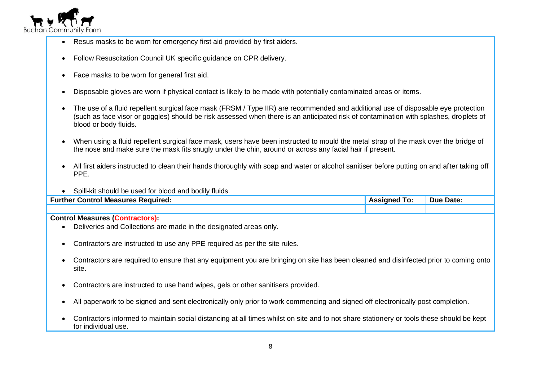

- Resus masks to be worn for emergency first aid provided by first aiders.
- Follow Resuscitation Council UK specific guidance on CPR delivery.
- Face masks to be worn for general first aid.
- Disposable gloves are worn if physical contact is likely to be made with potentially contaminated areas or items.
- The use of a fluid repellent surgical face mask (FRSM / Type IIR) are recommended and additional use of disposable eye protection (such as face visor or goggles) should be risk assessed when there is an anticipated risk of contamination with splashes, droplets of blood or body fluids.
- When using a fluid repellent surgical face mask, users have been instructed to mould the metal strap of the mask over the bridge of the nose and make sure the mask fits snugly under the chin, around or across any facial hair if present.
- All first aiders instructed to clean their hands thoroughly with soap and water or alcohol sanitiser before putting on and after taking off PPE.
- Spill-kit should be used for blood and bodily fluids.

| <b>Further Control Measures Required:</b> | <b>Assigned To:</b> | <b>Due Date:</b> |
|-------------------------------------------|---------------------|------------------|
|                                           |                     |                  |

#### **Control Measures (Contractors):**

- Deliveries and Collections are made in the designated areas only.
- Contractors are instructed to use any PPE required as per the site rules.
- Contractors are required to ensure that any equipment you are bringing on site has been cleaned and disinfected prior to coming onto site.
- Contractors are instructed to use hand wipes, gels or other sanitisers provided.
- All paperwork to be signed and sent electronically only prior to work commencing and signed off electronically post completion.
- Contractors informed to maintain social distancing at all times whilst on site and to not share stationery or tools these should be kept for individual use.